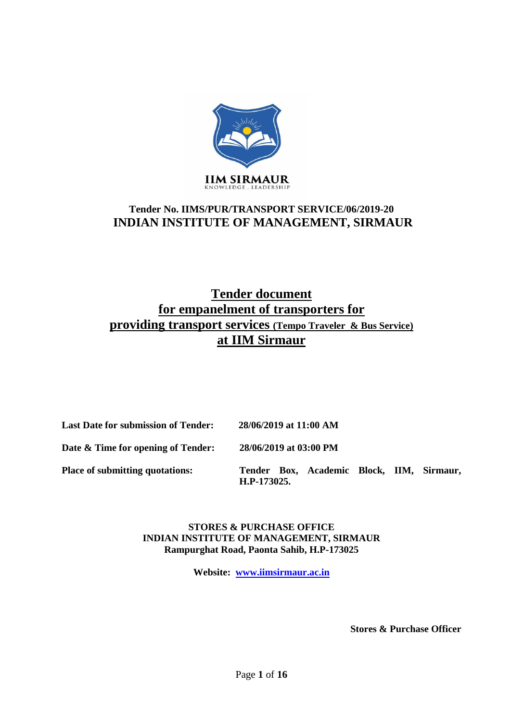

## **Tender No. IIMS/PUR/TRANSPORT SERVICE/06/2019-20 INDIAN INSTITUTE OF MANAGEMENT, SIRMAUR**

# **Tender document for empanelment of transporters for providing transport services (Tempo Traveler & Bus Service) at IIM Sirmaur**

| <b>Last Date for submission of Tender:</b> | 28/06/2019 at 11:00 AM                                   |
|--------------------------------------------|----------------------------------------------------------|
| Date & Time for opening of Tender:         | 28/06/2019 at 03:00 PM                                   |
| <b>Place of submitting quotations:</b>     | Tender Box, Academic Block, IIM, Sirmaur,<br>H.P-173025. |

**STORES & PURCHASE OFFICE INDIAN INSTITUTE OF MANAGEMENT, SIRMAUR Rampurghat Road, Paonta Sahib, H.P-173025** 

**Website: [www.iimsirmaur.ac.in](http://www.iimsirmaur.ac.in/)**

**Stores & Purchase Officer**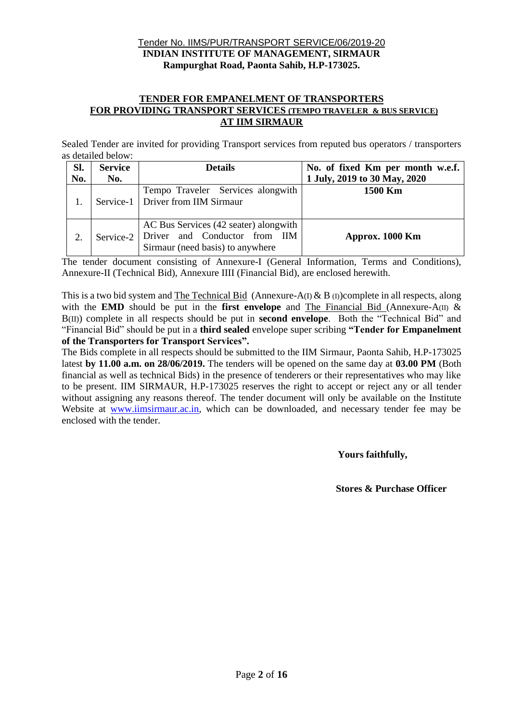#### Tender No. IIMS/PUR/TRANSPORT SERVICE/06/2019-20 **INDIAN INSTITUTE OF MANAGEMENT, SIRMAUR Rampurghat Road, Paonta Sahib, H.P-173025.**

#### **TENDER FOR EMPANELMENT OF TRANSPORTERS FOR PROVIDING TRANSPORT SERVICES (TEMPO TRAVELER & BUS SERVICE) AT IIM SIRMAUR**

Sealed Tender are invited for providing Transport services from reputed bus operators / transporters as detailed below:

| Sl. | <b>Service</b> | <b>Details</b>                                                                                                                                | No. of fixed Km per month w.e.f. |
|-----|----------------|-----------------------------------------------------------------------------------------------------------------------------------------------|----------------------------------|
| No. | No.            |                                                                                                                                               | 1 July, 2019 to 30 May, 2020     |
|     |                | Tempo Traveler Services alongwith<br>Service-1   Driver from IIM Sirmaur                                                                      | 1500 Km                          |
|     |                | AC Bus Services (42 seater) alongwith<br>Service-2 Driver and Conductor from $\text{I} \text{I} \text{M}$<br>Sirmaur (need basis) to anywhere | Approx. 1000 Km                  |

The tender document consisting of Annexure-I (General Information, Terms and Conditions), Annexure-II (Technical Bid), Annexure IIII (Financial Bid), are enclosed herewith.

This is a two bid system and The Technical Bid (Annexure-A(I)  $\&$  B (I))complete in all respects, along with the **EMD** should be put in the **first envelope** and The Financial Bid (Annexure-A(II) & B(II)) complete in all respects should be put in **second envelope**. Both the "Technical Bid" and "Financial Bid" should be put in a **third sealed** envelope super scribing **"Tender for Empanelment of the Transporters for Transport Services".**

The Bids complete in all respects should be submitted to the IIM Sirmaur, Paonta Sahib, H.P-173025 latest **by 11.00 a.m. on 28/06/2019.** The tenders will be opened on the same day at **03.00 PM** (Both financial as well as technical Bids) in the presence of tenderers or their representatives who may like to be present. IIM SIRMAUR, H.P-173025 reserves the right to accept or reject any or all tender without assigning any reasons thereof. The tender document will only be available on the Institute Website at [www.iimsirmaur.ac.in,](http://www.iimsirmaur.ac.in/) which can be downloaded, and necessary tender fee may be enclosed with the tender.

 **Yours faithfully,**

 **Stores & Purchase Officer**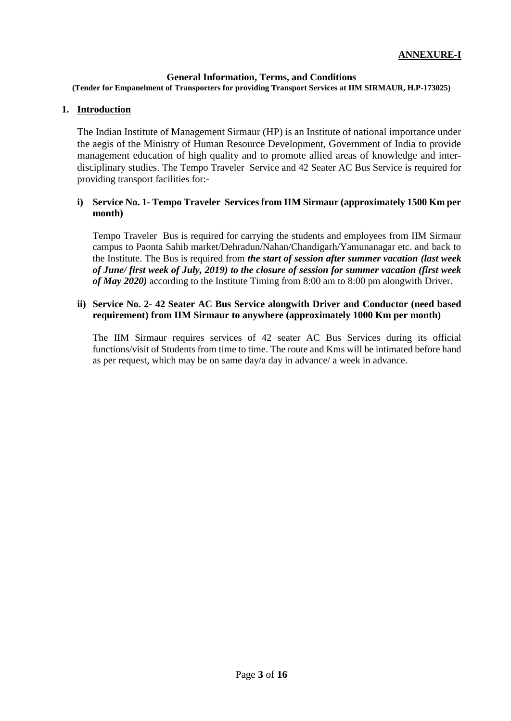#### **General Information, Terms, and Conditions**

**(Tender for Empanelment of Transporters for providing Transport Services at IIM SIRMAUR, H.P-173025)**

#### **1. Introduction**

The Indian Institute of Management Sirmaur (HP) is an Institute of national importance under the aegis of the Ministry of Human Resource Development, Government of India to provide management education of high quality and to promote allied areas of knowledge and interdisciplinary studies. The Tempo Traveler Service and 42 Seater AC Bus Service is required for providing transport facilities for:-

#### **i) Service No. 1- Tempo Traveler Services from IIM Sirmaur (approximately 1500 Km per month)**

Tempo Traveler Bus is required for carrying the students and employees from IIM Sirmaur campus to Paonta Sahib market/Dehradun/Nahan/Chandigarh/Yamunanagar etc. and back to the Institute. The Bus is required from *the start of session after summer vacation (last week of June/ first week of July, 2019) to the closure of session for summer vacation (first week of May 2020)* according to the Institute Timing from 8:00 am to 8:00 pm alongwith Driver.

#### **ii) Service No. 2- 42 Seater AC Bus Service alongwith Driver and Conductor (need based requirement) from IIM Sirmaur to anywhere (approximately 1000 Km per month)**

The IIM Sirmaur requires services of 42 seater AC Bus Services during its official functions/visit of Students from time to time. The route and Kms will be intimated before hand as per request, which may be on same day/a day in advance/ a week in advance.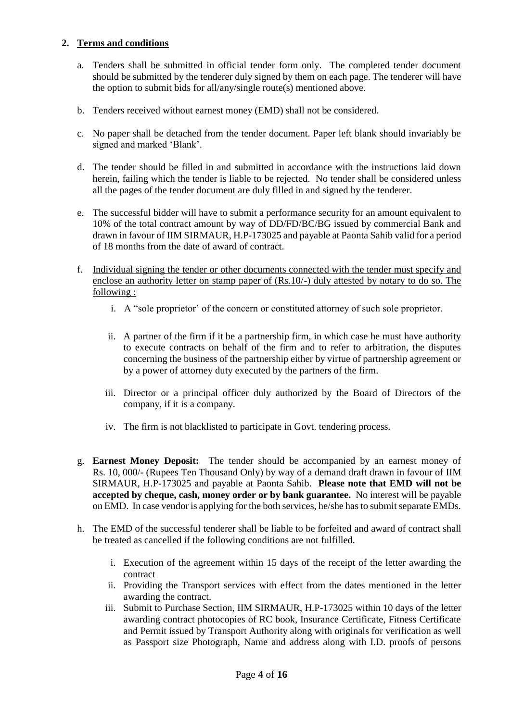## **2. Terms and conditions**

- a. Tenders shall be submitted in official tender form only. The completed tender document should be submitted by the tenderer duly signed by them on each page. The tenderer will have the option to submit bids for all/any/single route(s) mentioned above.
- b. Tenders received without earnest money (EMD) shall not be considered.
- c. No paper shall be detached from the tender document. Paper left blank should invariably be signed and marked 'Blank'.
- d. The tender should be filled in and submitted in accordance with the instructions laid down herein, failing which the tender is liable to be rejected. No tender shall be considered unless all the pages of the tender document are duly filled in and signed by the tenderer.
- e. The successful bidder will have to submit a performance security for an amount equivalent to 10% of the total contract amount by way of DD/FD/BC/BG issued by commercial Bank and drawn in favour of IIM SIRMAUR, H.P-173025 and payable at Paonta Sahib valid for a period of 18 months from the date of award of contract.
- f. Individual signing the tender or other documents connected with the tender must specify and enclose an authority letter on stamp paper of (Rs.10/-) duly attested by notary to do so. The following :
	- i. A "sole proprietor' of the concern or constituted attorney of such sole proprietor.
	- ii. A partner of the firm if it be a partnership firm, in which case he must have authority to execute contracts on behalf of the firm and to refer to arbitration, the disputes concerning the business of the partnership either by virtue of partnership agreement or by a power of attorney duty executed by the partners of the firm.
	- iii. Director or a principal officer duly authorized by the Board of Directors of the company, if it is a company.
	- iv. The firm is not blacklisted to participate in Govt. tendering process.
- g. **Earnest Money Deposit:** The tender should be accompanied by an earnest money of Rs. 10, 000/- (Rupees Ten Thousand Only) by way of a demand draft drawn in favour of IIM SIRMAUR, H.P-173025 and payable at Paonta Sahib. **Please note that EMD will not be accepted by cheque, cash, money order or by bank guarantee.** No interest will be payable on EMD. In case vendor is applying for the both services, he/she has to submit separate EMDs.
- h. The EMD of the successful tenderer shall be liable to be forfeited and award of contract shall be treated as cancelled if the following conditions are not fulfilled.
	- i. Execution of the agreement within 15 days of the receipt of the letter awarding the contract
	- ii. Providing the Transport services with effect from the dates mentioned in the letter awarding the contract.
	- iii. Submit to Purchase Section, IIM SIRMAUR, H.P-173025 within 10 days of the letter awarding contract photocopies of RC book, Insurance Certificate, Fitness Certificate and Permit issued by Transport Authority along with originals for verification as well as Passport size Photograph, Name and address along with I.D. proofs of persons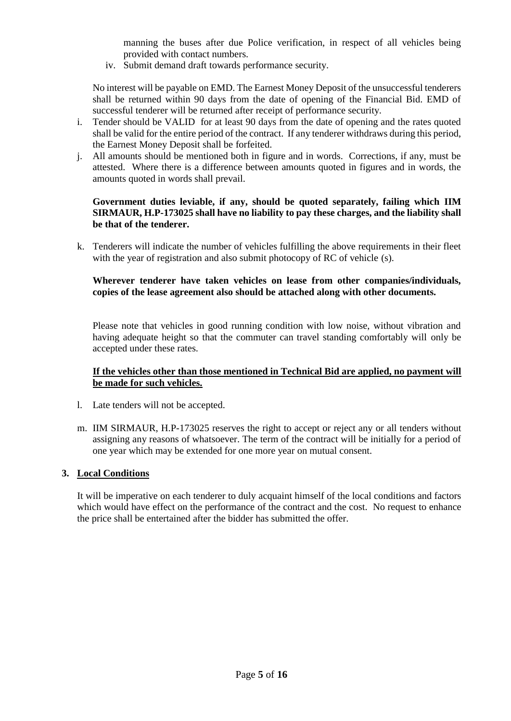manning the buses after due Police verification, in respect of all vehicles being provided with contact numbers.

iv. Submit demand draft towards performance security.

No interest will be payable on EMD. The Earnest Money Deposit of the unsuccessful tenderers shall be returned within 90 days from the date of opening of the Financial Bid. EMD of successful tenderer will be returned after receipt of performance security.

- i. Tender should be VALID for at least 90 days from the date of opening and the rates quoted shall be valid for the entire period of the contract. If any tenderer withdraws during this period, the Earnest Money Deposit shall be forfeited.
- j. All amounts should be mentioned both in figure and in words. Corrections, if any, must be attested. Where there is a difference between amounts quoted in figures and in words, the amounts quoted in words shall prevail.

#### **Government duties leviable, if any, should be quoted separately, failing which IIM SIRMAUR, H.P-173025 shall have no liability to pay these charges, and the liability shall be that of the tenderer.**

k. Tenderers will indicate the number of vehicles fulfilling the above requirements in their fleet with the year of registration and also submit photocopy of RC of vehicle (s).

#### **Wherever tenderer have taken vehicles on lease from other companies/individuals, copies of the lease agreement also should be attached along with other documents.**

Please note that vehicles in good running condition with low noise, without vibration and having adequate height so that the commuter can travel standing comfortably will only be accepted under these rates.

#### **If the vehicles other than those mentioned in Technical Bid are applied, no payment will be made for such vehicles.**

- l. Late tenders will not be accepted.
- m. IIM SIRMAUR, H.P-173025 reserves the right to accept or reject any or all tenders without assigning any reasons of whatsoever. The term of the contract will be initially for a period of one year which may be extended for one more year on mutual consent.

#### **3. Local Conditions**

It will be imperative on each tenderer to duly acquaint himself of the local conditions and factors which would have effect on the performance of the contract and the cost. No request to enhance the price shall be entertained after the bidder has submitted the offer.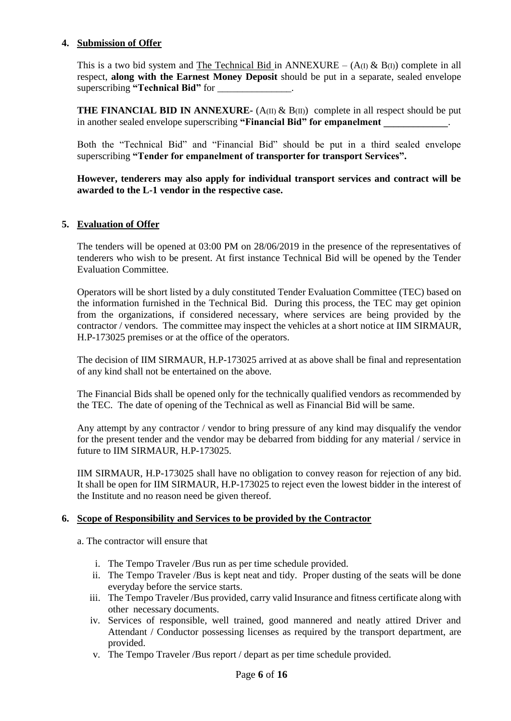#### **4. Submission of Offer**

This is a two bid system and The Technical Bid in ANNEXURE –  $(A(I) \& B(I))$  complete in all respect, **along with the Earnest Money Deposit** should be put in a separate, sealed envelope superscribing "Technical Bid" for

**THE FINANCIAL BID IN ANNEXURE-**  $(A(\text{II}) \& B(\text{II}))$  complete in all respect should be put in another sealed envelope superscribing "Financial Bid" for empanelment

Both the "Technical Bid" and "Financial Bid" should be put in a third sealed envelope superscribing **"Tender for empanelment of transporter for transport Services".** 

**However, tenderers may also apply for individual transport services and contract will be awarded to the L-1 vendor in the respective case.**

#### **5. Evaluation of Offer**

The tenders will be opened at 03:00 PM on 28/06/2019 in the presence of the representatives of tenderers who wish to be present. At first instance Technical Bid will be opened by the Tender Evaluation Committee.

Operators will be short listed by a duly constituted Tender Evaluation Committee (TEC) based on the information furnished in the Technical Bid. During this process, the TEC may get opinion from the organizations, if considered necessary, where services are being provided by the contractor / vendors. The committee may inspect the vehicles at a short notice at IIM SIRMAUR, H.P-173025 premises or at the office of the operators.

The decision of IIM SIRMAUR, H.P-173025 arrived at as above shall be final and representation of any kind shall not be entertained on the above.

The Financial Bids shall be opened only for the technically qualified vendors as recommended by the TEC. The date of opening of the Technical as well as Financial Bid will be same.

Any attempt by any contractor / vendor to bring pressure of any kind may disqualify the vendor for the present tender and the vendor may be debarred from bidding for any material / service in future to IIM SIRMAUR, H.P-173025.

IIM SIRMAUR, H.P-173025 shall have no obligation to convey reason for rejection of any bid. It shall be open for IIM SIRMAUR, H.P-173025 to reject even the lowest bidder in the interest of the Institute and no reason need be given thereof.

#### **6. Scope of Responsibility and Services to be provided by the Contractor**

a. The contractor will ensure that

- i. The Tempo Traveler /Bus run as per time schedule provided.
- ii. The Tempo Traveler /Bus is kept neat and tidy. Proper dusting of the seats will be done everyday before the service starts.
- iii. The Tempo Traveler /Bus provided, carry valid Insurance and fitness certificate along with other necessary documents.
- iv. Services of responsible, well trained, good mannered and neatly attired Driver and Attendant / Conductor possessing licenses as required by the transport department, are provided.
- v. The Tempo Traveler /Bus report / depart as per time schedule provided.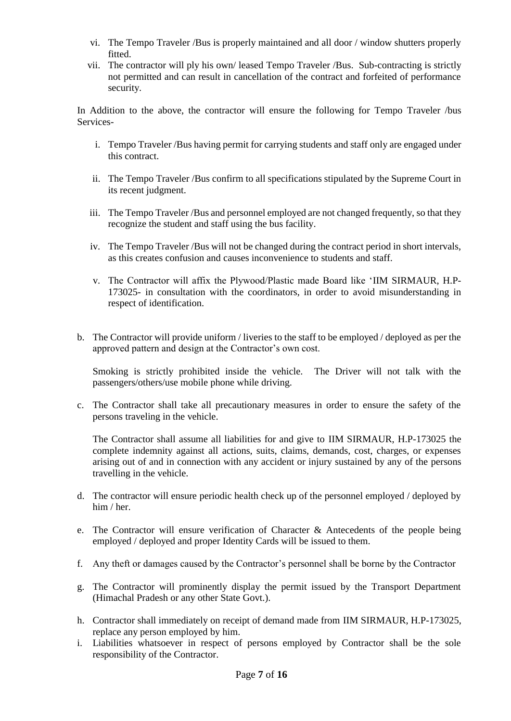- vi. The Tempo Traveler /Bus is properly maintained and all door / window shutters properly fitted.
- vii. The contractor will ply his own/ leased Tempo Traveler /Bus. Sub-contracting is strictly not permitted and can result in cancellation of the contract and forfeited of performance security.

In Addition to the above, the contractor will ensure the following for Tempo Traveler /bus Services-

- i. Tempo Traveler /Bus having permit for carrying students and staff only are engaged under this contract.
- ii. The Tempo Traveler /Bus confirm to all specifications stipulated by the Supreme Court in its recent judgment.
- iii. The Tempo Traveler /Bus and personnel employed are not changed frequently, so that they recognize the student and staff using the bus facility.
- iv. The Tempo Traveler /Bus will not be changed during the contract period in short intervals, as this creates confusion and causes inconvenience to students and staff.
- v. The Contractor will affix the Plywood/Plastic made Board like 'IIM SIRMAUR, H.P-173025- in consultation with the coordinators, in order to avoid misunderstanding in respect of identification.
- b. The Contractor will provide uniform / liveries to the staff to be employed / deployed as per the approved pattern and design at the Contractor's own cost.

Smoking is strictly prohibited inside the vehicle. The Driver will not talk with the passengers/others/use mobile phone while driving.

c. The Contractor shall take all precautionary measures in order to ensure the safety of the persons traveling in the vehicle.

The Contractor shall assume all liabilities for and give to IIM SIRMAUR, H.P-173025 the complete indemnity against all actions, suits, claims, demands, cost, charges, or expenses arising out of and in connection with any accident or injury sustained by any of the persons travelling in the vehicle.

- d. The contractor will ensure periodic health check up of the personnel employed / deployed by him / her.
- e. The Contractor will ensure verification of Character  $\&$  Antecedents of the people being employed / deployed and proper Identity Cards will be issued to them.
- f. Any theft or damages caused by the Contractor's personnel shall be borne by the Contractor
- g. The Contractor will prominently display the permit issued by the Transport Department (Himachal Pradesh or any other State Govt.).
- h. Contractor shall immediately on receipt of demand made from IIM SIRMAUR, H.P-173025, replace any person employed by him.
- i. Liabilities whatsoever in respect of persons employed by Contractor shall be the sole responsibility of the Contractor.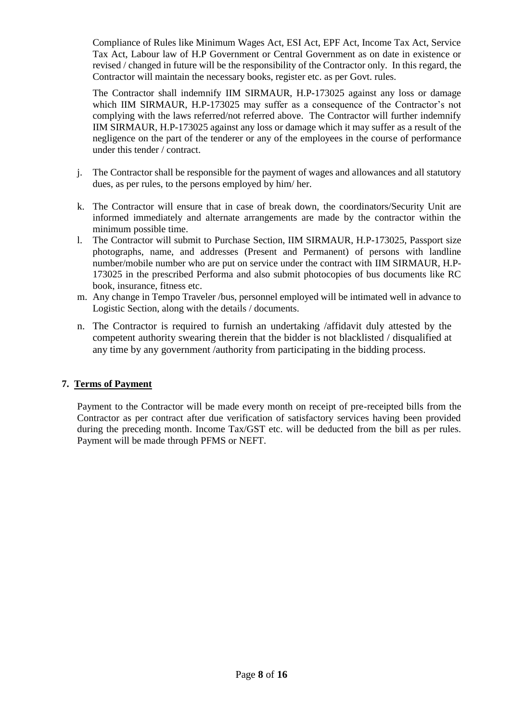Compliance of Rules like Minimum Wages Act, ESI Act, EPF Act, Income Tax Act, Service Tax Act, Labour law of H.P Government or Central Government as on date in existence or revised / changed in future will be the responsibility of the Contractor only. In this regard, the Contractor will maintain the necessary books, register etc. as per Govt. rules.

The Contractor shall indemnify IIM SIRMAUR, H.P-173025 against any loss or damage which IIM SIRMAUR, H.P-173025 may suffer as a consequence of the Contractor's not complying with the laws referred/not referred above. The Contractor will further indemnify IIM SIRMAUR, H.P-173025 against any loss or damage which it may suffer as a result of the negligence on the part of the tenderer or any of the employees in the course of performance under this tender / contract.

- j. The Contractor shall be responsible for the payment of wages and allowances and all statutory dues, as per rules, to the persons employed by him/ her.
- k. The Contractor will ensure that in case of break down, the coordinators/Security Unit are informed immediately and alternate arrangements are made by the contractor within the minimum possible time.
- l. The Contractor will submit to Purchase Section, IIM SIRMAUR, H.P-173025, Passport size photographs, name, and addresses (Present and Permanent) of persons with landline number/mobile number who are put on service under the contract with IIM SIRMAUR, H.P-173025 in the prescribed Performa and also submit photocopies of bus documents like RC book, insurance, fitness etc.
- m. Any change in Tempo Traveler /bus, personnel employed will be intimated well in advance to Logistic Section, along with the details / documents.
- n. The Contractor is required to furnish an undertaking /affidavit duly attested by the competent authority swearing therein that the bidder is not blacklisted / disqualified at any time by any government /authority from participating in the bidding process.

## **7. Terms of Payment**

Payment to the Contractor will be made every month on receipt of pre-receipted bills from the Contractor as per contract after due verification of satisfactory services having been provided during the preceding month. Income Tax/GST etc. will be deducted from the bill as per rules. Payment will be made through PFMS or NEFT.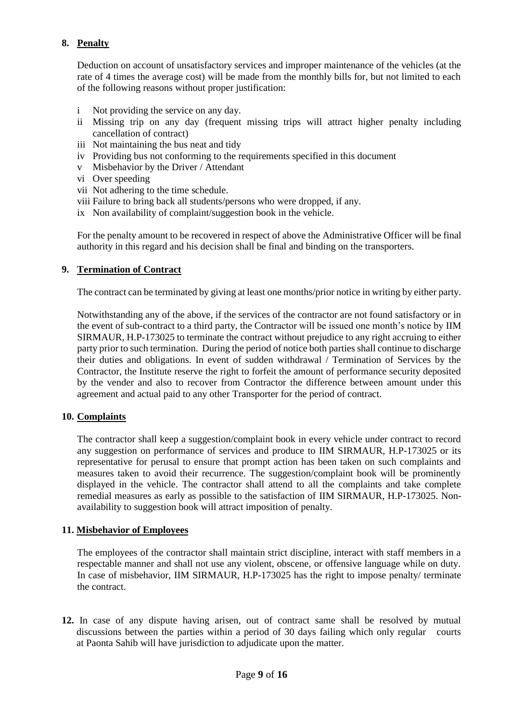## **8. Penalty**

Deduction on account of unsatisfactory services and improper maintenance of the vehicles (at the rate of 4 times the average cost) will be made from the monthly bills for, but not limited to each of the following reasons without proper justification:

- i Not providing the service on any day.
- ii Missing trip on any day (frequent missing trips will attract higher penalty including cancellation of contract)
- iii Not maintaining the bus neat and tidy
- iv Providing bus not conforming to the requirements specified in this document
- v Misbehavior by the Driver / Attendant
- vi Over speeding
- vii Not adhering to the time schedule.
- viii Failure to bring back all students/persons who were dropped, if any.
- ix Non availability of complaint/suggestion book in the vehicle.

For the penalty amount to be recovered in respect of above the Administrative Officer will be final authority in this regard and his decision shall be final and binding on the transporters.

#### **9. Termination of Contract**

The contract can be terminated by giving at least one months/prior notice in writing by either party.

Notwithstanding any of the above, if the services of the contractor are not found satisfactory or in the event of sub-contract to a third party, the Contractor will be issued one month's notice by IIM SIRMAUR, H.P-173025 to terminate the contract without prejudice to any right accruing to either party prior to such termination. During the period of notice both parties shall continue to discharge their duties and obligations. In event of sudden withdrawal / Termination of Services by the Contractor, the Institute reserve the right to forfeit the amount of performance security deposited by the vender and also to recover from Contractor the difference between amount under this agreement and actual paid to any other Transporter for the period of contract.

#### **10. Complaints**

The contractor shall keep a suggestion/complaint book in every vehicle under contract to record any suggestion on performance of services and produce to IIM SIRMAUR, H.P-173025 or its representative for perusal to ensure that prompt action has been taken on such complaints and measures taken to avoid their recurrence. The suggestion/complaint book will be prominently displayed in the vehicle. The contractor shall attend to all the complaints and take complete remedial measures as early as possible to the satisfaction of IIM SIRMAUR, H.P-173025. Nonavailability to suggestion book will attract imposition of penalty.

#### **11. Misbehavior of Employees**

The employees of the contractor shall maintain strict discipline, interact with staff members in a respectable manner and shall not use any violent, obscene, or offensive language while on duty. In case of misbehavior, IIM SIRMAUR, H.P-173025 has the right to impose penalty/ terminate the contract.

**12.** In case of any dispute having arisen, out of contract same shall be resolved by mutual discussions between the parties within a period of 30 days failing which only regular courts at Paonta Sahib will have jurisdiction to adjudicate upon the matter.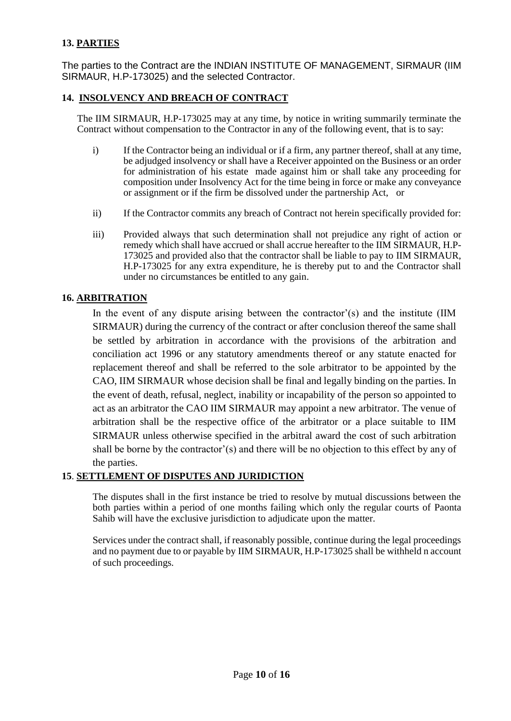## **13. PARTIES**

The parties to the Contract are the INDIAN INSTITUTE OF MANAGEMENT, SIRMAUR (IIM SIRMAUR, H.P-173025) and the selected Contractor.

## **14. INSOLVENCY AND BREACH OF CONTRACT**

The IIM SIRMAUR, H.P-173025 may at any time, by notice in writing summarily terminate the Contract without compensation to the Contractor in any of the following event, that is to say:

- i) If the Contractor being an individual or if a firm, any partner thereof, shall at any time, be adjudged insolvency or shall have a Receiver appointed on the Business or an order for administration of his estate made against him or shall take any proceeding for composition under Insolvency Act for the time being in force or make any conveyance or assignment or if the firm be dissolved under the partnership Act, or
- ii) If the Contractor commits any breach of Contract not herein specifically provided for:
- iii) Provided always that such determination shall not prejudice any right of action or remedy which shall have accrued or shall accrue hereafter to the IIM SIRMAUR, H.P-173025 and provided also that the contractor shall be liable to pay to IIM SIRMAUR, H.P-173025 for any extra expenditure, he is thereby put to and the Contractor shall under no circumstances be entitled to any gain.

#### **16. ARBITRATION**

In the event of any dispute arising between the contractor'(s) and the institute (IIM SIRMAUR) during the currency of the contract or after conclusion thereof the same shall be settled by arbitration in accordance with the provisions of the arbitration and conciliation act 1996 or any statutory amendments thereof or any statute enacted for replacement thereof and shall be referred to the sole arbitrator to be appointed by the CAO, IIM SIRMAUR whose decision shall be final and legally binding on the parties. In the event of death, refusal, neglect, inability or incapability of the person so appointed to act as an arbitrator the CAO IIM SIRMAUR may appoint a new arbitrator. The venue of arbitration shall be the respective office of the arbitrator or a place suitable to IIM SIRMAUR unless otherwise specified in the arbitral award the cost of such arbitration shall be borne by the contractor'(s) and there will be no objection to this effect by any of the parties.

## **15**. **SETTLEMENT OF DISPUTES AND JURIDICTION**

The disputes shall in the first instance be tried to resolve by mutual discussions between the both parties within a period of one months failing which only the regular courts of Paonta Sahib will have the exclusive jurisdiction to adjudicate upon the matter.

Services under the contract shall, if reasonably possible, continue during the legal proceedings and no payment due to or payable by IIM SIRMAUR, H.P-173025 shall be withheld n account of such proceedings.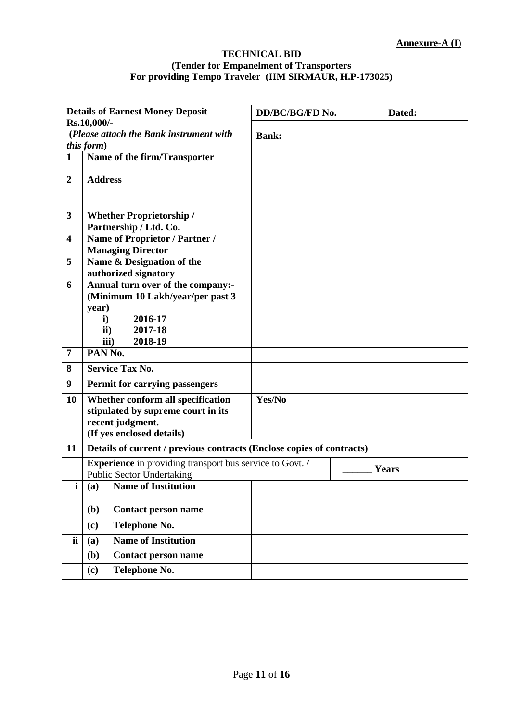## **TECHNICAL BID (Tender for Empanelment of Transporters For providing Tempo Traveler (IIM SIRMAUR, H.P-173025)**

|                         |                                  | <b>Details of Earnest Money Deposit</b>                               | DD/BC/BG/FD No.<br>Dated: |
|-------------------------|----------------------------------|-----------------------------------------------------------------------|---------------------------|
|                         | Rs.10,000/-                      |                                                                       |                           |
|                         | this form)                       | (Please attach the Bank instrument with                               | <b>Bank:</b>              |
| $\mathbf{1}$            |                                  |                                                                       |                           |
|                         |                                  | Name of the firm/Transporter                                          |                           |
| $\boldsymbol{2}$        | <b>Address</b>                   |                                                                       |                           |
|                         |                                  |                                                                       |                           |
|                         |                                  |                                                                       |                           |
| 3                       |                                  | <b>Whether Proprietorship /</b>                                       |                           |
|                         |                                  | Partnership / Ltd. Co.                                                |                           |
| $\overline{\mathbf{4}}$ |                                  | Name of Proprietor / Partner /                                        |                           |
|                         |                                  | <b>Managing Director</b>                                              |                           |
| 5                       |                                  | Name & Designation of the                                             |                           |
|                         |                                  | authorized signatory                                                  |                           |
| 6                       |                                  | Annual turn over of the company:-                                     |                           |
|                         |                                  | (Minimum 10 Lakh/year/per past 3                                      |                           |
|                         | year)                            |                                                                       |                           |
|                         | $\mathbf{i}$                     | 2016-17                                                               |                           |
|                         | $\mathbf{ii}$                    | 2017-18                                                               |                           |
|                         |                                  | 2018-19<br>iii)                                                       |                           |
| 7                       | PAN No.                          |                                                                       |                           |
| 8                       |                                  | <b>Service Tax No.</b>                                                |                           |
| 9                       |                                  | <b>Permit for carrying passengers</b>                                 |                           |
| 10                      |                                  | Whether conform all specification                                     | Yes/No                    |
|                         |                                  | stipulated by supreme court in its                                    |                           |
|                         |                                  | recent judgment.                                                      |                           |
|                         |                                  | (If yes enclosed details)                                             |                           |
| 11                      |                                  | Details of current / previous contracts (Enclose copies of contracts) |                           |
|                         |                                  | <b>Experience</b> in providing transport bus service to Govt. /       |                           |
|                         | <b>Public Sector Undertaking</b> |                                                                       | Years                     |
| i                       |                                  | (a) Name of Institution                                               |                           |
|                         |                                  |                                                                       |                           |
|                         | (b)                              | <b>Contact person name</b>                                            |                           |
|                         |                                  |                                                                       |                           |
| <b>ii</b>               | (c)                              | <b>Telephone No.</b>                                                  |                           |
|                         | (a)                              | <b>Name of Institution</b>                                            |                           |
|                         | (b)                              | <b>Contact person name</b>                                            |                           |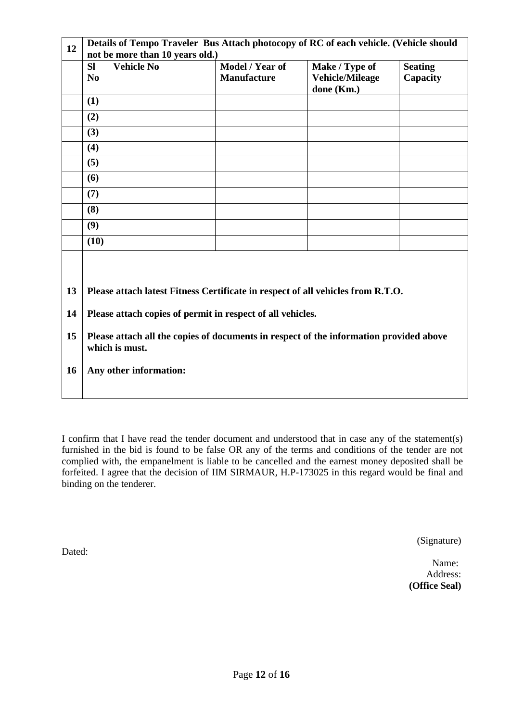| Details of Tempo Traveler Bus Attach photocopy of RC of each vehicle. (Vehicle should<br>not be more than 10 years old.)                                                                                                                                                                                    |                   |                                       |                                          |                            |
|-------------------------------------------------------------------------------------------------------------------------------------------------------------------------------------------------------------------------------------------------------------------------------------------------------------|-------------------|---------------------------------------|------------------------------------------|----------------------------|
| <b>SI</b><br>N <sub>0</sub>                                                                                                                                                                                                                                                                                 | <b>Vehicle No</b> | Model / Year of<br><b>Manufacture</b> | Make / Type of<br><b>Vehicle/Mileage</b> | <b>Seating</b><br>Capacity |
| (1)                                                                                                                                                                                                                                                                                                         |                   |                                       |                                          |                            |
| (2)                                                                                                                                                                                                                                                                                                         |                   |                                       |                                          |                            |
| (3)                                                                                                                                                                                                                                                                                                         |                   |                                       |                                          |                            |
| (4)                                                                                                                                                                                                                                                                                                         |                   |                                       |                                          |                            |
| (5)                                                                                                                                                                                                                                                                                                         |                   |                                       |                                          |                            |
| (6)                                                                                                                                                                                                                                                                                                         |                   |                                       |                                          |                            |
| (7)                                                                                                                                                                                                                                                                                                         |                   |                                       |                                          |                            |
| (8)                                                                                                                                                                                                                                                                                                         |                   |                                       |                                          |                            |
| (9)                                                                                                                                                                                                                                                                                                         |                   |                                       |                                          |                            |
| (10)                                                                                                                                                                                                                                                                                                        |                   |                                       |                                          |                            |
| 13<br>Please attach latest Fitness Certificate in respect of all vehicles from R.T.O.<br>14<br>Please attach copies of permit in respect of all vehicles.<br>15<br>Please attach all the copies of documents in respect of the information provided above<br>which is must.<br>16<br>Any other information: |                   |                                       |                                          |                            |
|                                                                                                                                                                                                                                                                                                             |                   |                                       |                                          | done (Km.)                 |

I confirm that I have read the tender document and understood that in case any of the statement(s) furnished in the bid is found to be false OR any of the terms and conditions of the tender are not complied with, the empanelment is liable to be cancelled and the earnest money deposited shall be forfeited. I agree that the decision of IIM SIRMAUR, H.P-173025 in this regard would be final and binding on the tenderer.

(Signature)

Name: Address: **(Office Seal)**

Dated: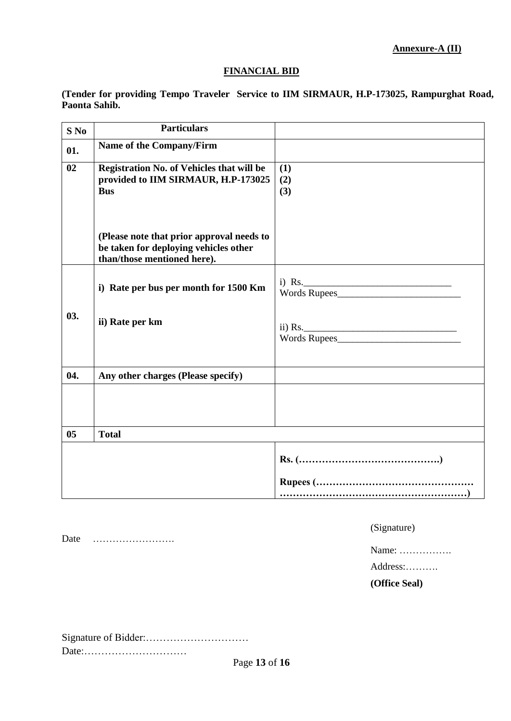**Annexure-A (II)**

#### **FINANCIAL BID**

**(Tender for providing Tempo Traveler Service to IIM SIRMAUR, H.P-173025, Rampurghat Road, Paonta Sahib.**

| $S$ No | <b>Particulars</b>                                                                                                |                         |
|--------|-------------------------------------------------------------------------------------------------------------------|-------------------------|
| 01.    | Name of the Company/Firm                                                                                          |                         |
| 02     | <b>Registration No. of Vehicles that will be</b><br>provided to IIM SIRMAUR, H.P-173025<br><b>Bus</b>             | (1)<br>(2)<br>(3)       |
|        | (Please note that prior approval needs to<br>be taken for deploying vehicles other<br>than/those mentioned here). |                         |
|        | i) Rate per bus per month for 1500 Km                                                                             | i) Rs.<br>Words Rupees  |
| 03.    | ii) Rate per km                                                                                                   | ii) Rs.<br>Words Rupees |
| 04.    | Any other charges (Please specify)                                                                                |                         |
|        |                                                                                                                   |                         |
| 05     | <b>Total</b>                                                                                                      |                         |
|        |                                                                                                                   |                         |
|        |                                                                                                                   |                         |
|        |                                                                                                                   |                         |

Date …………………….

(Signature)

Name: …………….

Address:……….

**(Office Seal)**

Signature of Bidder:………………………… Date:…………………………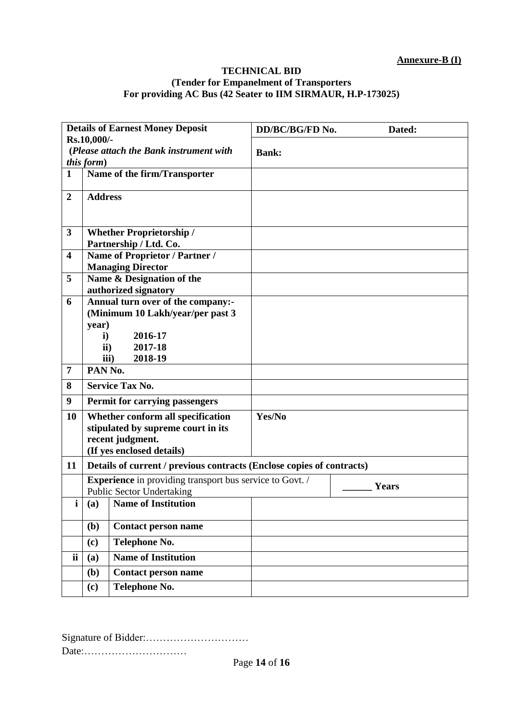#### **TECHNICAL BID (Tender for Empanelment of Transporters For providing AC Bus (42 Seater to IIM SIRMAUR, H.P-173025)**

| <b>Details of Earnest Money Deposit</b>                              |                |                                                                       | DD/BC/BG/FD No.<br>Dated: |
|----------------------------------------------------------------------|----------------|-----------------------------------------------------------------------|---------------------------|
| Rs.10,000/-<br>(Please attach the Bank instrument with<br>this form) |                |                                                                       | <b>Bank:</b>              |
| $\mathbf{1}$                                                         |                | Name of the firm/Transporter                                          |                           |
| $\overline{2}$                                                       | <b>Address</b> |                                                                       |                           |
| 3                                                                    |                | <b>Whether Proprietorship /</b>                                       |                           |
|                                                                      |                | Partnership / Ltd. Co.                                                |                           |
| $\overline{\mathbf{4}}$                                              |                | Name of Proprietor / Partner /                                        |                           |
|                                                                      |                | <b>Managing Director</b>                                              |                           |
| 5                                                                    |                | Name & Designation of the                                             |                           |
| 6                                                                    |                | authorized signatory<br>Annual turn over of the company:-             |                           |
|                                                                      |                | (Minimum 10 Lakh/year/per past 3                                      |                           |
|                                                                      | year)          |                                                                       |                           |
|                                                                      | $\mathbf{i}$   | 2016-17                                                               |                           |
|                                                                      | ii)            | 2017-18                                                               |                           |
|                                                                      | iii)           | 2018-19                                                               |                           |
| $\overline{7}$                                                       | PAN No.        |                                                                       |                           |
| 8                                                                    |                | <b>Service Tax No.</b>                                                |                           |
| 9                                                                    |                | <b>Permit for carrying passengers</b>                                 |                           |
| 10                                                                   |                | Whether conform all specification                                     | Yes/No                    |
|                                                                      |                | stipulated by supreme court in its                                    |                           |
|                                                                      |                | recent judgment.                                                      |                           |
|                                                                      |                | (If yes enclosed details)                                             |                           |
| 11                                                                   |                | Details of current / previous contracts (Enclose copies of contracts) |                           |
|                                                                      |                | <b>Experience</b> in providing transport bus service to Govt. /       | Years                     |
|                                                                      |                | <b>Public Sector Undertaking</b>                                      |                           |
|                                                                      |                | (a) Name of Institution                                               |                           |
|                                                                      | (b)            | <b>Contact person name</b>                                            |                           |
|                                                                      | (c)            | <b>Telephone No.</b>                                                  |                           |
| ii                                                                   | (a)            | <b>Name of Institution</b>                                            |                           |
|                                                                      | (b)            | <b>Contact person name</b>                                            |                           |
|                                                                      | (c)            | Telephone No.                                                         |                           |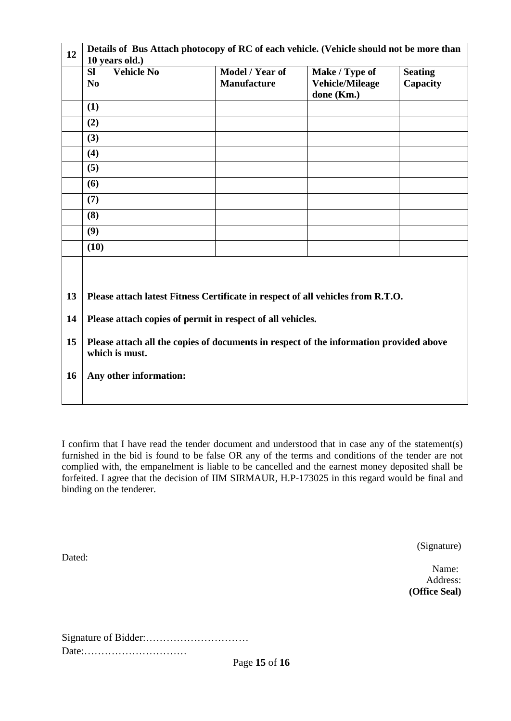| 12                   | Details of Bus Attach photocopy of RC of each vehicle. (Vehicle should not be more than<br>10 years old.)                                                                                                                                                                           |                   |                                       |                                                        |                            |
|----------------------|-------------------------------------------------------------------------------------------------------------------------------------------------------------------------------------------------------------------------------------------------------------------------------------|-------------------|---------------------------------------|--------------------------------------------------------|----------------------------|
|                      | <b>SI</b><br>N <sub>0</sub>                                                                                                                                                                                                                                                         | <b>Vehicle No</b> | Model / Year of<br><b>Manufacture</b> | Make / Type of<br><b>Vehicle/Mileage</b><br>done (Km.) | <b>Seating</b><br>Capacity |
|                      | (1)                                                                                                                                                                                                                                                                                 |                   |                                       |                                                        |                            |
|                      | (2)                                                                                                                                                                                                                                                                                 |                   |                                       |                                                        |                            |
|                      | (3)                                                                                                                                                                                                                                                                                 |                   |                                       |                                                        |                            |
|                      | (4)                                                                                                                                                                                                                                                                                 |                   |                                       |                                                        |                            |
|                      | (5)                                                                                                                                                                                                                                                                                 |                   |                                       |                                                        |                            |
|                      | (6)                                                                                                                                                                                                                                                                                 |                   |                                       |                                                        |                            |
|                      | (7)                                                                                                                                                                                                                                                                                 |                   |                                       |                                                        |                            |
|                      | (8)                                                                                                                                                                                                                                                                                 |                   |                                       |                                                        |                            |
|                      | (9)                                                                                                                                                                                                                                                                                 |                   |                                       |                                                        |                            |
|                      | (10)                                                                                                                                                                                                                                                                                |                   |                                       |                                                        |                            |
| 13<br>14<br>15<br>16 | Please attach latest Fitness Certificate in respect of all vehicles from R.T.O.<br>Please attach copies of permit in respect of all vehicles.<br>Please attach all the copies of documents in respect of the information provided above<br>which is must.<br>Any other information: |                   |                                       |                                                        |                            |

I confirm that I have read the tender document and understood that in case any of the statement(s) furnished in the bid is found to be false OR any of the terms and conditions of the tender are not complied with, the empanelment is liable to be cancelled and the earnest money deposited shall be forfeited. I agree that the decision of IIM SIRMAUR, H.P-173025 in this regard would be final and binding on the tenderer.

(Signature)

Name: Address: **(Office Seal)**

Signature of Bidder:………………………… Date:…………………………

Dated: